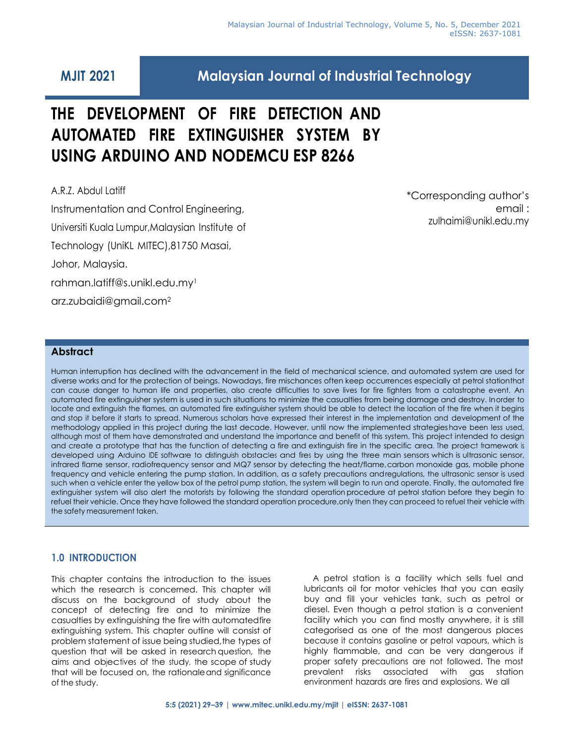# **MJIT 2021 Malaysian Journal of Industrial Technology**

# **THE DEVELOPMENT OF FIRE DETECTION AND AUTOMATED FIRE EXTINGUISHER SYSTEM BY USING ARDUINO AND NODEMCU ESP 8266**

A.R.Z. Abdul Latiff Instrumentation and Control Engineering, Universiti Kuala Lumpur,Malaysian Institute of Technology (UniKL MITEC),81750 Masai, Johor, Malaysia. [rahman.latiff@s.unikl.edu.my](mailto:rahman.latiff@s.unikl.edu.my)<sup>1</sup> [arz.zubaidi@gmail.com](mailto:arz.zubaidi@gmail.com)<sup>2</sup>

\*Corresponding author's email : [zulhaimi@unikl.edu.my](mailto:zulhaimi@unikl.edu.my)

# **Abstract**

Human interruption has declined with the advancement in the field of mechanical science, and automated system are used for diverse works and for the protection of beings. Nowadays, fire mischances often keep occurrences especially at petrol stationthat can cause danger to human life and properties, also create difficulties to save lives for fire fighters from a catastrophe event. An automated fire extinguisher system is used in such situations to minimize the casualties from being damage and destroy. Inorder to locate and extinguish the flames, an automated fire extinguisher system should be able to detect the location of the fire when it begins and stop it before it starts to spread. Numerous scholars have expressed their interest in the implementation and development of the methodology applied in this project during the last decade. However, until now the implemented strategieshave been less used, although most of them have demonstrated and understand the importance and benefit of this system. This project intended to design and create a prototype that has the function of detecting a fire and extinguish fire in the specific area. The project framework is developed using Arduino IDE software to distinguish obstacles and fires by using the three main sensors which is ultrasonic sensor, infrared flame sensor, radiofrequency sensor and MQ7 sensor by detecting the heat/flame,carbon monoxide gas, mobile phone frequency and vehicle entering the pump station. In addition, as a safety precautions andregulations, the ultrasonic sensor is used such when a vehicle enter the yellow box of the petrol pump station, the system will begin to run and operate. Finally, the automated fire extinguisher system will also alert the motorists by following the standard operation procedure at petrol station before they begin to refuel their vehicle. Once they have followed the standard operation procedure,only then they can proceed to refuel their vehicle with the safety measurement taken.

# **1.0 INTRODUCTION**

This chapter contains the introduction to the issues which the research is concerned. This chapter will discuss on the background of study about the concept of detecting fire and to minimize the casualties by extinguishing the fire with automatedfire extinguishing system. This chapter outline will consist of problem statement of issue being studied,the types of question that will be asked in research question, the aims and objectives of the study, the scope of study that will be focused on, the rationaleand significance of the study.

A petrol station is a facility which sells fuel and lubricants oil for motor vehicles that you can easily buy and fill your vehicles tank, such as petrol or diesel. Even though a petrol station is a convenient facility which you can find mostly anywhere, it is still categorised as one of the most dangerous places because it contains gasoline or petrol vapours, which is highly flammable, and can be very dangerous if proper safety precautions are not followed. The most prevalent risks associated with gas station environment hazards are fires and explosions. We all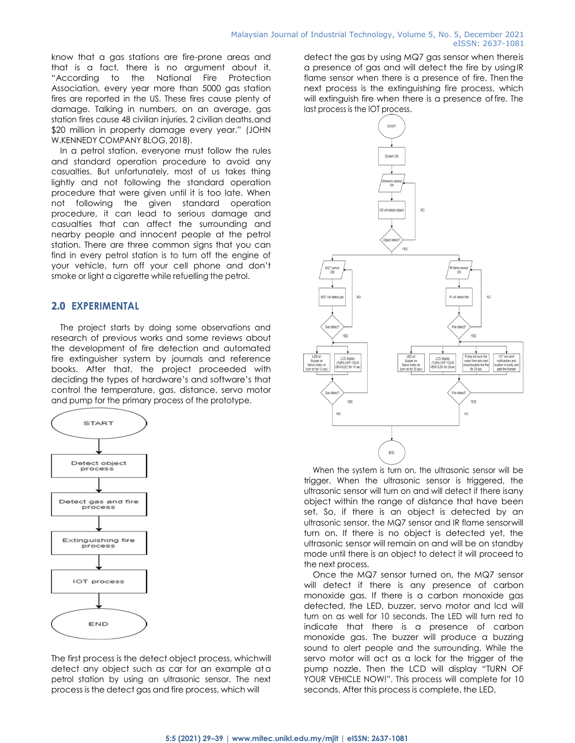know that a gas stations are fire-prone areas and that is a fact, there is no argument about it. "According to the National Fire Protection Association, every year more than 5000 gas station fires are reported in the US. These fires cause plenty of damage. Talking in numbers, on an average, gas station fires cause 48 civilian injuries, 2 civilian deaths, and \$20 million in property damage every year." (JOHN W.KENNEDY COMPANY BLOG, 2018).

In a petrol station, everyone must follow the rules and standard operation procedure to avoid any casualties. But unfortunately, most of us takes thing lightly and not following the standard operation procedure that were given until it is too late. When not following the given standard operation procedure, it can lead to serious damage and casualties that can affect the surrounding and nearby people and innocent people at the petrol station. There are three common signs that you can find in every petrol station is to turn off the engine of your vehicle, turn off your cell phone and don't smoke or light a cigarette while refuelling the petrol.

# **2.0 EXPERIMENTAL**

The project starts by doing some observations and research of previous works and some reviews about the development of fire detection and automated fire extinguisher system by journals and reference books. After that, the project proceeded with deciding the types of hardware's and software's that control the temperature, gas, distance, servo motor and pump for the primary process of the prototype.



The first process is the detect object process, whichwill detect any object such as car for an example at a petrol station by using an ultrasonic sensor. The next process is the detect gas and fire process, which will

detect the gas by using MQ7 gas sensor when thereis a presence of gas and will detect the fire by usingIR flame sensor when there is a presence of fire. Then the next process is the extinguishing fire process, which will extinguish fire when there is a presence offire. The last process is the IOT process.



When the system is turn on, the ultrasonic sensor will be trigger. When the ultrasonic sensor is triggered, the ultrasonic sensor will turn on and will detect if there isany object within the range of distance that have been set. So, if there is an object is detected by an ultrasonic sensor, the MQ7 sensor and IR flame sensorwill turn on. If there is no object is detected yet, the ultrasonic sensor will remain on and will be on standby mode until there is an object to detect it will proceed to the next process.

Once the MQ7 sensor turned on, the MQ7 sensor will detect if there is any presence of carbon monoxide gas. If there is a carbon monoxide gas detected, the LED, buzzer, servo motor and lcd will turn on as well for 10 seconds. The LED will turn red to indicate that there is a presence of carbon monoxide gas. The buzzer will produce a buzzing sound to alert people and the surrounding. While the servo motor will act as a lock for the trigger of the pump nozzle. Then the LCD will display "TURN OF YOUR VEHICLE NOW!". This process will complete for 10 seconds. After this process is complete, the LED,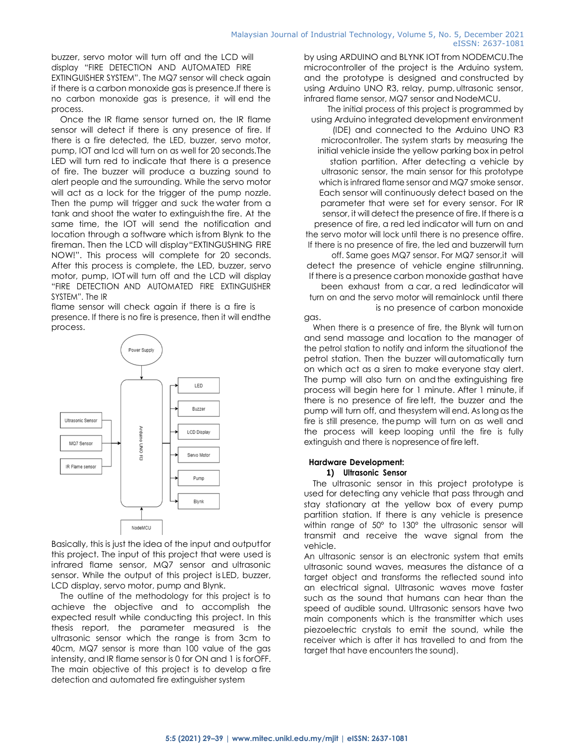buzzer, servo motor will turn off and the LCD will display "FIRE DETECTION AND AUTOMATED FIRE EXTINGUISHER SYSTEM". The MQ7 sensor will check again if there is a carbon monoxide gas is presence.If there is no carbon monoxide gas is presence, it will end the process.

Once the IR flame sensor turned on, the IR flame sensor will detect if there is any presence of fire. If there is a fire detected, the LED, buzzer, servo motor, pump, IOT and lcd will turn on as well for 20 seconds.The LED will turn red to indicate that there is a presence of fire. The buzzer will produce a buzzing sound to alert people and the surrounding. While the servo motor will act as a lock for the trigger of the pump nozzle. Then the pump will trigger and suck the water from a tank and shoot the water to extinguishthe fire. At the same time, the IOT will send the notification and location through a software which isfrom Blynk to the fireman. Then the LCD will display"EXTINGUSHING FIRE NOW!". This process will complete for 20 seconds. After this process is complete, the LED, buzzer, servo motor, pump, IOT will turn off and the LCD will display "FIRE DETECTION AND AUTOMATED FIRE EXTINGUISHER SYSTEM". The IR

flame sensor will check again if there is a fire is presence. If there is no fire is presence, then it will endthe process.



Basically, this is just the idea of the input and outputfor this project. The input of this project that were used is infrared flame sensor, MQ7 sensor and ultrasonic sensor. While the output of this project is LED, buzzer, LCD display, servo motor, pump and Blynk.

The outline of the methodology for this project is to achieve the objective and to accomplish the expected result while conducting this project. In this thesis report, the parameter measured is the ultrasonic sensor which the range is from 3cm to 40cm, MQ7 sensor is more than 100 value of the gas intensity, and IR flame sensor is 0 for ON and 1 is forOFF. The main objective of this project is to develop a fire detection and automated fire extinguisher system

by using ARDUINO and BLYNK IOT from NODEMCU.The microcontroller of the project is the Arduino system, and the prototype is designed and constructed by using Arduino UNO R3, relay, pump, ultrasonic sensor, infrared flame sensor, MQ7 sensor and NodeMCU.

The initial process of this project is programmed by using Arduino integrated development environment (IDE) and connected to the Arduino UNO R3 microcontroller. The system starts by measuring the initial vehicle inside the yellow parking box in petrol station partition. After detecting a vehicle by ultrasonic sensor, the main sensor for this prototype which is infrared flame sensor and MQ7 smoke sensor. Each sensor will continuously detect based on the parameter that were set for every sensor. For IR sensor, it will detect the presence of fire. If there is a presence of fire, a red led indicator will turn on and the servo motor will lock until there is no presence offire. If there is no presence of fire, the led and buzzerwill turn off. Same goes MQ7 sensor. For MQ7 sensor,it will detect the presence of vehicle engine stillrunning. If there is a presence carbon monoxide gasthat have been exhaust from a car, a red ledindicator will turn on and the servo motor will remainlock until there is no presence of carbon monoxide gas.

When there is a presence of fire, the Blynk will turnon and send massage and location to the manager of the petrol station to notify and inform the situationof the petrol station. Then the buzzer willautomatically turn on which act as a siren to make everyone stay alert. The pump will also turn on and the extinguishing fire process will begin here for 1 minute. After 1 minute, if there is no presence of fire left, the buzzer and the pump will turn off, and thesystem will end. As long as the fire is still presence, thepump will turn on as well and the process will keep looping until the fire is fully extinguish and there is nopresence of fire left.

#### **Hardware Development:**

#### **1) Ultrasonic Sensor**

The ultrasonic sensor in this project prototype is used for detecting any vehicle that pass through and stay stationary at the yellow box of every pump partition station. If there is any vehicle is presence within range of 50° to 130° the ultrasonic sensor will transmit and receive the wave signal from the vehicle.

An ultrasonic sensor is an electronic system that emits ultrasonic sound waves, measures the distance of a target object and transforms the reflected sound into an electrical signal. Ultrasonic waves move faster such as the sound that humans can hear than the speed of audible sound. Ultrasonic sensors have two main components which is the transmitter which uses piezoelectric crystals to emit the sound, while the receiver which is after it has travelled to and from the target that have encounters the sound).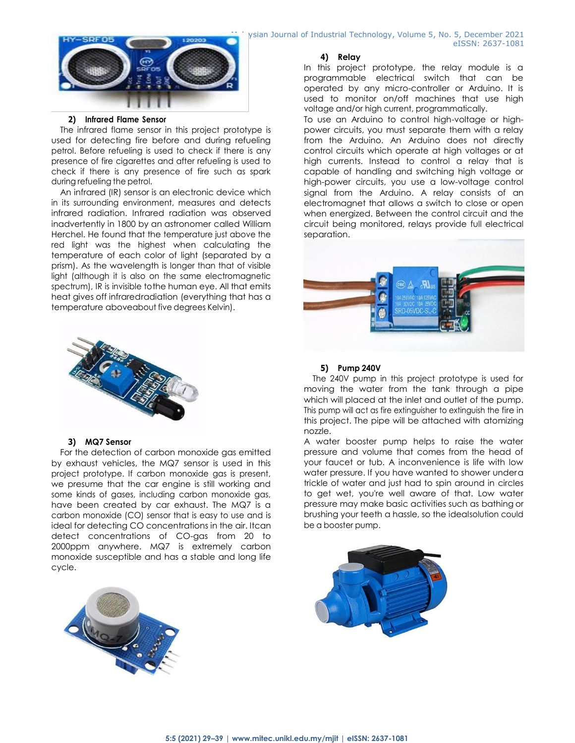

#### **2) Infrared Flame Sensor**

The infrared flame sensor in this project prototype is used for detecting fire before and during refueling petrol. Before refueling is used to check if there is any presence of fire cigarettes and after refueling is used to check if there is any presence of fire such as spark during refueling the petrol.

An infrared (IR) sensor is an electronic device which in its surrounding environment, measures and detects infrared radiation. Infrared radiation was observed inadvertently in 1800 by an astronomer called William Herchel. He found that the temperature just above the red light was the highest when calculating the temperature of each color of light (separated by a prism). As the wavelength is longer than that of visible light (although it is also on the same electromagnetic spectrum), IR is invisible tothe human eye. All that emits heat gives off infraredradiation (everything that has a temperature aboveabout five degrees Kelvin).



#### **3) MQ7 Sensor**

For the detection of carbon monoxide gas emitted by exhaust vehicles, the MQ7 sensor is used in this project prototype. If carbon monoxide gas is present, we presume that the car engine is still working and some kinds of gases, including carbon monoxide gas, have been created by car exhaust. The MQ7 is a carbon monoxide (CO) sensor that is easy to use and is ideal for detecting CO concentrations in the air. Itcan detect concentrations of CO-gas from 20 to 2000ppm anywhere. MQ7 is extremely carbon monoxide susceptible and has a stable and long life cycle.



ysian Journal of Industrial Technology, Volume 5, No. 5, December 2021 eISSN: 2637-1081

#### **4) Relay**

In this project prototype, the relay module is a programmable electrical switch that can be operated by any micro-controller or Arduino. It is used to monitor on/off machines that use high voltage and/or high current, programmatically.

To use an Arduino to control high-voltage or highpower circuits, you must separate them with a relay from the Arduino. An Arduino does not directly control circuits which operate at high voltages or at high currents. Instead to control a relay that is capable of handling and switching high voltage or high-power circuits, you use a low-voltage control signal from the Arduino. A relay consists of an electromagnet that allows a switch to close or open when energized. Between the control circuit and the circuit being monitored, relays provide full electrical separation.



#### **5) Pump 240V**

The 240V pump in this project prototype is used for moving the water from the tank through a pipe which will placed at the inlet and outlet of the pump. This pump will act as fire extinguisher to extinguish the fire in this project. The pipe will be attached with atomizing nozzle.

A water booster pump helps to raise the water pressure and volume that comes from the head of your faucet or tub. A inconvenience is life with low water pressure. If you have wanted to shower undera trickle of water and just had to spin around in circles to get wet, you're well aware of that. Low water pressure may make basic activities such as bathing or brushing your teeth a hassle, so the idealsolution could be a booster pump.

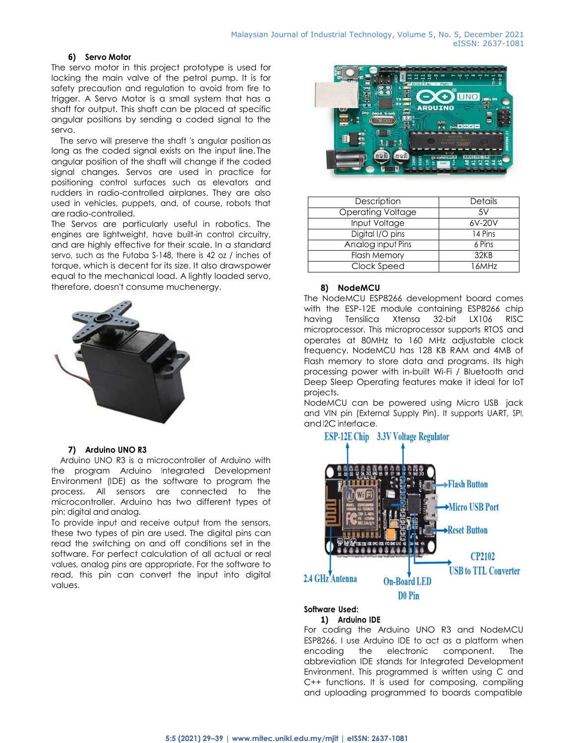### **6) Servo Motor**

The servo motor in this project prototype is used for locking the main valve of the petrol pump. It is for safety precaution and regulation to avoid from fire to trigger. A Servo Motor is a small system that has a shaft for output. This shaft can be placed at specific angular positions by sending a coded signal to the servo.

The servo will preserve the shaft 's angular positionas long as the coded signal exists on the input line. The angular position of the shaft will change if the coded signal changes. Servos are used in practice for positioning control surfaces such as elevators and rudders in radio-controlled airplanes. They are also used in vehicles, puppets, and, of course, robots that are radio-controlled.

The Servos are particularly useful in robotics. The engines are lightweight, have built-in control circuitry, and are highly effective for their scale. In a standard servo, such as the Futaba S-148, there is 42 oz / inches of torque, which is decent for its size. It also drawspower equal to the mechanical load. A lightly loaded servo, therefore, doesn't consume muchenergy.



#### **7) Arduino UNO R3**

Arduino UNO R3 is a microcontroller of Arduino with the program Arduino Integrated Development Environment (IDE) as the software to program the process. All sensors are connected to the microcontroller. Arduino has two different types of pin; digital and analog.

To provide input and receive output from the sensors, these two types of pin are used. The digital pins can read the switching on and off conditions set in the software. For perfect calculation of all actual or real values, analog pins are appropriate. For the software to read, this pin can convert the input into digital values.



| Description              | <b>Details</b> |
|--------------------------|----------------|
| <b>Operating Voltage</b> | .5V            |
| Input Voltage            | 6V-20V         |
| Digital I/O pins         | 14 Pins        |
| Analog Input Pins        | 6 Pins         |
| <b>Flash Memory</b>      | 32KB           |
| Clock Speed              | 16MHz          |

### **8) NodeMCU**

The NodeMCU ESP8266 development board comes with the ESP-12E module containing ESP8266 chip having Tensilica Xtensa 32-bit LX106 RISC microprocessor. This microprocessor supports RTOS and operates at 80MHz to 160 MHz adjustable clock frequency. NodeMCU has 128 KB RAM and 4MB of Flash memory to store data and programs. Its high processing power with in-built Wi-Fi / Bluetooth and Deep Sleep Operating features make it ideal for IoT projects.

NodeMCU can be powered using Micro USB jack and VIN pin (External Supply Pin). It supports UART, SPI, and I2C interface.

# **ESP-12E Chip** 3.3V Voltage Regulator



# **Software Used:**

# **1) Arduino IDE**

For coding the Arduino UNO R3 and NodeMCU ESP8266, I use Arduino IDE to act as a platform when encoding the electronic component. The abbreviation IDE stands for Integrated Development Environment. This programmed is written using C and C++ functions. It is used for composing, compiling and uploading programmed to boards compatible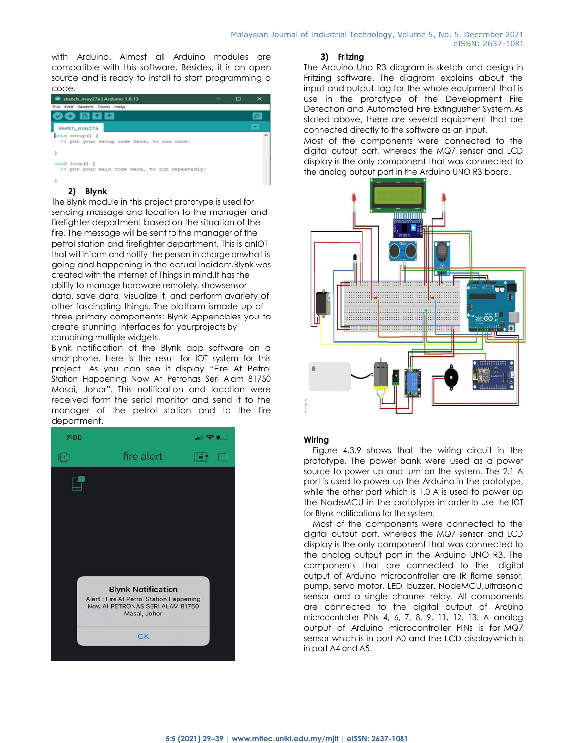with Arduino. Almost all Arduino modules are compatible with this software. Besides, it is an open source and is ready to install to start programming a code.

| sketch_may27a   Arduino 1.8.13                                  | ▭ |  |
|-----------------------------------------------------------------|---|--|
| File Edit Sketch Tools Help                                     |   |  |
| 00 B B B                                                        |   |  |
| sketch_may27a                                                   |   |  |
| roid setup() {<br>// put your setup code here, to run once:     |   |  |
|                                                                 |   |  |
| void loop() {<br>// put your main code here, to run repeatedly: |   |  |
|                                                                 |   |  |

# **2) Blynk**

The Blynk module in this project prototype is used for sending massage and location to the manager and firefighter department based on the situation of the fire. The message will be sent to the manager of the petrol station and firefighter department. This is anIOT that will inform and notify the person in charge onwhat is going and happening in the actual incident.Blynk was created with the Internet of Things in mind.It has the ability to manage hardware remotely, showsensor data, save data, visualize it, and perform avariety of other fascinating things. The platform ismade up of three primary components: Blynk Appenables you to create stunning interfaces for yourprojects by combining multiple widgets.

Blynk notification at the Blynk app software on a smartphone. Here is the result for IOT system for this project. As you can see it display "Fire At Petrol Station Happening Now At Petronas Seri Alam 81750 Masai, Johor". This notification and location were received form the serial monitor and send it to the manager of the petrol station and to the fire department.



#### **3) Fritzing**

The Arduino Uno R3 diagram is sketch and design in Fritzing software. The diagram explains about the input and output tag for the whole equipment that is use in the prototype of the Development Fire Detection and Automated Fire Extinguisher System.As stated above, there are several equipment that are connected directly to the software as an input.

Most of the components were connected to the digital output port, whereas the MQ7 sensor and LCD display is the only component that was connected to the analog output port in the Arduino UNO R3 board.



# **Wiring**

Figure 4.3.9 shows that the wiring circuit in the prototype. The power bank were used as a power source to power up and turn on the system. The 2.1 A port is used to power up the Arduino in the prototype, while the other port which is 1.0 A is used to power up the NodeMCU in the prototype in orderto use the IOT for Blynk notifications for the system.

Most of the components were connected to the digital output port, whereas the MQ7 sensor and LCD display is the only component that was connected to the analog output port in the Arduino UNO R3. The components that are connected to the digital output of Arduino microcontroller are IR flame sensor, pump, servo motor, LED, buzzer, NodeMCU,ultrasonic sensor and a single channel relay. All components are connected to the digital output of Arduino microcontroller PINs 4, 6, 7, 8, 9, 11, 12, 13. A analog output of Arduino microcontroller PINs is for MQ7 sensor which is in port A0 and the LCD displaywhich is in port A4 and A5.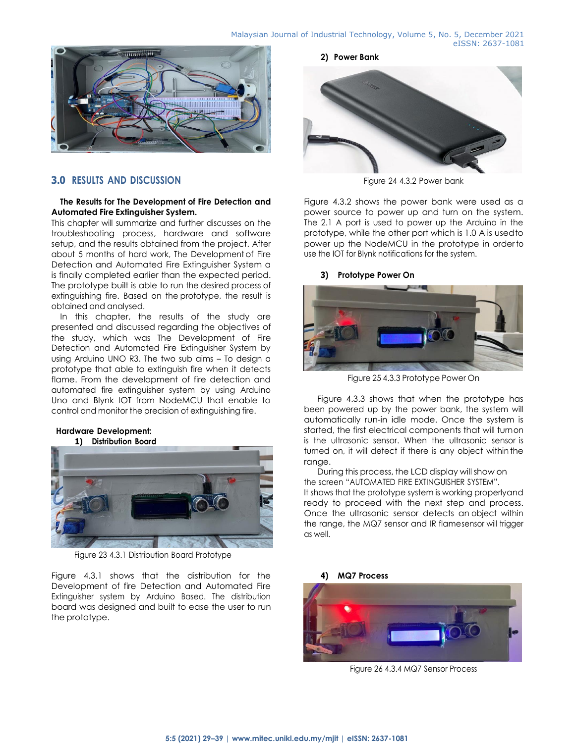

# **3.0 RESULTS AND DISCUSSION**

#### **The Results for The Development of Fire Detection and Automated Fire Extinguisher System.**

This chapter will summarize and further discusses on the troubleshooting process, hardware and software setup, and the results obtained from the project. After about 5 months of hard work, The Developmentof Fire Detection and Automated Fire Extinguisher System a is finally completed earlier than the expected period. The prototype built is able to run the desired process of extinguishing fire. Based on the prototype, the result is obtained and analysed.

In this chapter, the results of the study are presented and discussed regarding the objectives of the study, which was The Development of Fire Detection and Automated Fire Extinguisher System by using Arduino UNO R3. The two sub aims – To design a prototype that able to extinguish fire when it detects flame. From the development of fire detection and automated fire extinguisher system by using Arduino Uno and Blynk IOT from NodeMCU that enable to control and monitor the precision of extinguishing fire.

#### **Hardware Development:**

#### **1) Distribution Board**



Figure 23 4.3.1 Distribution Board Prototype

Figure 4.3.1 shows that the distribution for the Development of fire Detection and Automated Fire Extinguisher system by Arduino Based. The distribution board was designed and built to ease the user to run the prototype.

**2) Power Bank**



Figure 24 4.3.2 Power bank

Figure 4.3.2 shows the power bank were used as a power source to power up and turn on the system. The 2.1 A port is used to power up the Arduino in the prototype, while the other port which is 1.0 A is usedto power up the NodeMCU in the prototype in orderto use the IOT for Blynk notifications for the system.

#### **3) Prototype Power On**



Figure 25 4.3.3 Prototype Power On

Figure 4.3.3 shows that when the prototype has been powered up by the power bank, the system will automatically run-in idle mode. Once the system is started, the first electrical components that will turnon is the ultrasonic sensor. When the ultrasonic sensor is turned on, it will detect if there is any object within the range.

During this process, the LCD display will show on the screen "AUTOMATED FIRE EXTINGUISHER SYSTEM". It shows that the prototype system is working properlyand ready to proceed with the next step and process. Once the ultrasonic sensor detects an object within the range, the MQ7 sensor and IR flamesensor will trigger as well.





Figure 26 4.3.4 MQ7 Sensor Process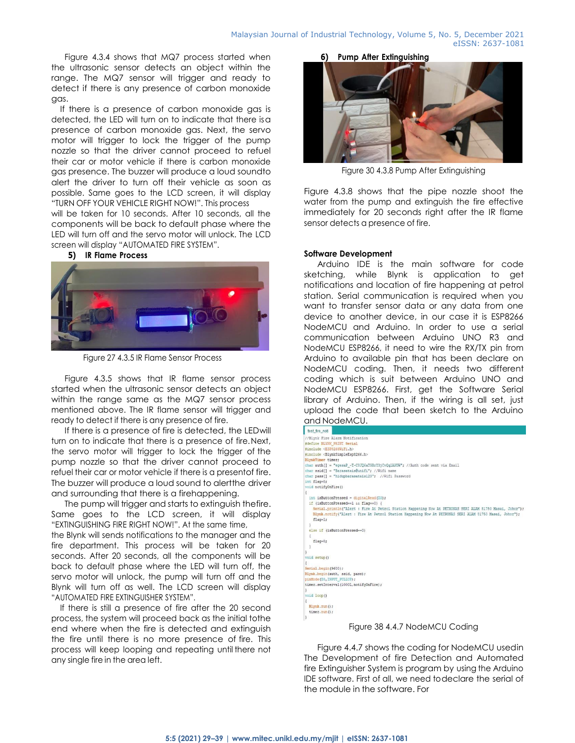Figure 4.3.4 shows that MQ7 process started when the ultrasonic sensor detects an object within the range. The MQ7 sensor will trigger and ready to detect if there is any presence of carbon monoxide gas.

If there is a presence of carbon monoxide gas is detected, the LED will turn on to indicate that there isa presence of carbon monoxide gas. Next, the servo motor will trigger to lock the trigger of the pump nozzle so that the driver cannot proceed to refuel their car or motor vehicle if there is carbon monoxide gas presence. The buzzer will produce a loud soundto alert the driver to turn off their vehicle as soon as possible. Same goes to the LCD screen, it will display "TURN OFF YOUR VEHICLE RIGHT NOW!". This process

will be taken for 10 seconds. After 10 seconds, all the components will be back to default phase where the LED will turn off and the servo motor will unlock. The LCD screen will display "AUTOMATED FIRE SYSTEM".

#### **5) IR Flame Process**



Figure 27 4.3.5 IR Flame Sensor Process

Figure 4.3.5 shows that IR flame sensor process started when the ultrasonic sensor detects an object within the range same as the MQ7 sensor process mentioned above. The IR flame sensor will trigger and ready to detect if there is any presence of fire.

If there is a presence of fire is detected, the LEDwill turn on to indicate that there is a presence of fire.Next, the servo motor will trigger to lock the trigger of the pump nozzle so that the driver cannot proceed to refuel their car or motor vehicle if there is a presentof fire. The buzzer will produce a loud sound to alertthe driver and surrounding that there is a firehappening.

The pump will trigger and starts to extinguish thefire. Same goes to the LCD screen, it will display "EXTINGUISHING FIRE RIGHT NOW!". At the same time, the Blynk will sends notifications to the manager and the fire department. This process will be taken for 20 seconds. After 20 seconds, all the components will be

back to default phase where the LED will turn off, the servo motor will unlock, the pump will turn off and the Blynk will turn off as well. The LCD screen will display "AUTOMATED FIRE EXTINGUISHER SYSTEM".

If there is still a presence of fire after the 20 second process, the system will proceed back as the initial tothe end where when the fire is detected and extinguish the fire until there is no more presence of fire. This process will keep looping and repeating until there not any single fire in the area left.

**6) Pump After Extinguishing**



Figure 30 4.3.8 Pump After Extinguishing

Figure 4.3.8 shows that the pipe nozzle shoot the water from the pump and extinguish the fire effective immediately for 20 seconds right after the IR flame sensor detects a presence of fire.

#### **Software Development**

Arduino IDE is the main software for code sketching, while Blynk is application to get notifications and location of fire happening at petrol station. Serial communication is required when you want to transfer sensor data or any data from one device to another device, in our case it is ESP8266 NodeMCU and Arduino. In order to use a serial communication between Arduino UNO R3 and NodeMCU ESP8266, it need to wire the RX/TX pin from Arduino to available pin that has been declare on NodeMCU coding. Then, it needs two different coding which is suit between Arduino UNO and NodeMCU ESP8266. First, get the Software Serial library of Arduino. Then, if the wiring is all set, just upload the code that been sketch to the Arduino and NodeMCU.

| test fire noti                                                                                           |
|----------------------------------------------------------------------------------------------------------|
| //Blynk Fire Alarm Notification                                                                          |
| #define BLYNK PRINT Serial                                                                               |
| #include <esp8266wifi.h></esp8266wifi.h>                                                                 |
| #include <blynksimpleesp8266.h></blynksimpleesp8266.h>                                                   |
| BlynkTimer timer:                                                                                        |
| char auth[] = "egesaP -T-C8JQ6aTGBrY3jCvQg1AKOW"; //Auth code sent via Email                             |
| char ssid[] = "Barasatais@unifi": //Wifi name                                                            |
| char pass[] = "hidupbarasatais123"; //Wifi Password                                                      |
| int flag=0;                                                                                              |
| void notifyOnFire()                                                                                      |
|                                                                                                          |
| int isButtonPressed = digitalRead(D3):                                                                   |
| if (isButtonPressed == 1 ss flag==0) {                                                                   |
| Serial.println("Alert : Fire At Petrol Station Happening Now At PETRONAS SERI ALAM 81750 Masai, Johor"); |
| Blynk.notify("Alert : Fire At Petrol Station Happening Now At PETRONAS SERI ALAM 81750 Masai, Johor");   |
| $flac=1$ ;                                                                                               |
|                                                                                                          |
| else if (isButtonPressed == 0)                                                                           |
|                                                                                                          |
| flag=0;                                                                                                  |
|                                                                                                          |
|                                                                                                          |
| void setup()                                                                                             |
| Serial.begin(9600);                                                                                      |
| Blynk.begin(auth, ssid, pass);                                                                           |
| pinMode (D3, INPUT PULLUP);                                                                              |
| timer.setInterval(1000L,notifyOnFire);                                                                   |
| 3                                                                                                        |
| void loop()                                                                                              |
|                                                                                                          |
| Blynk.run();                                                                                             |
| timer.run();                                                                                             |
| 3                                                                                                        |
| .<br>$- \cdot$<br>.                                                                                      |

Figure 38 4.4.7 NodeMCU Coding

Figure 4.4.7 shows the coding for NodeMCU usedin The Development of fire Detection and Automated fire Extinguisher System is program by using the Arduino IDE software. First of all, we need todeclare the serial of the module in the software. For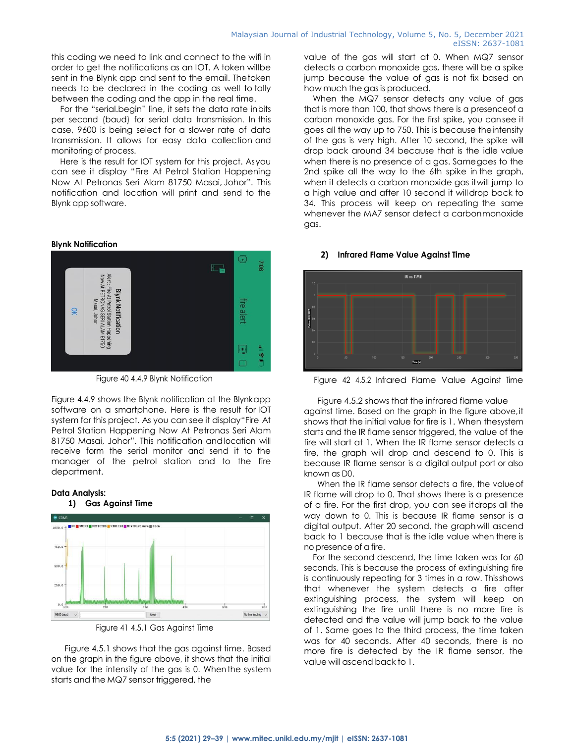this coding we need to link and connect to the wifi in order to get the notifications as an IOT. A token willbe sent in the Blynk app and sent to the email. Thetoken needs to be declared in the coding as well to tally between the coding and the app in the real time.

For the "serial.begin" line, it sets the data rate inbits per second (baud) for serial data transmission. In this case, 9600 is being select for a slower rate of data transmission. It allows for easy data collection and monitoring of process.

Here is the result for IOT system for this project. Asyou can see it display "Fire At Petrol Station Happening Now At Petronas Seri Alam 81750 Masai, Johor". This notification and location will print and send to the Blynk app software.

#### **Blynk Notification**

**Data Analysis:**



Figure 40 4.4.9 Blynk Notification

Figure 4.4.9 shows the Blynk notification at the Blynkapp software on a smartphone. Here is the result for IOT system for this project. As you can see it display"Fire At Petrol Station Happening Now At Petronas Seri Alam 81750 Masai, Johor". This notification andlocation will receive form the serial monitor and send it to the manager of the petrol station and to the fire department.



Figure 41 4.5.1 Gas Against Time

Figure 4.5.1 shows that the gas against time. Based on the graph in the figure above, it shows that the initial value for the intensity of the gas is 0. When the system starts and the MQ7 sensor triggered, the

value of the gas will start at 0. When MQ7 sensor detects a carbon monoxide gas, there will be a spike jump because the value of gas is not fix based on how much the gas is produced.

When the MQ7 sensor detects any value of gas that is more than 100, that shows there is a presenceof a carbon monoxide gas. For the first spike, you cansee it goes all the way up to 750. This is because theintensity of the gas is very high. After 10 second, the spike will drop back around 34 because that is the idle value when there is no presence of a gas. Samegoes to the 2nd spike all the way to the 6th spike in the graph, when it detects a carbon monoxide gas itwill jump to a high value and after 10 second it willdrop back to 34. This process will keep on repeating the same whenever the MA7 sensor detect a carbonmonoxide gas.

#### **2) Infrared Flame Value Against Time**



Figure 42 4.5.2 Infrared Flame Value Against Time

Figure 4.5.2 shows that the infrared flame value against time. Based on the graph in the figure above,it shows that the initial value for fire is 1. When thesystem starts and the IR flame sensor triggered, the value of the fire will start at 1. When the IR flame sensor detects a fire, the graph will drop and descend to 0. This is because IR flame sensor is a digital output port or also known as D0.

When the IR flame sensor detects a fire, the valueof IR flame will drop to 0. That shows there is a presence of a fire. For the first drop, you can see itdrops all the way down to 0. This is because IR flame sensor is a digital output. After 20 second, the graphwill ascend back to 1 because that is the idle value when there is no presence of a fire.

For the second descend, the time taken was for 60 seconds. This is because the process of extinguishing fire is continuously repeating for 3 times in a row. Thisshows that whenever the system detects a fire after extinguishing process, the system will keep on extinguishing the fire until there is no more fire is detected and the value will jump back to the value of 1. Same goes to the third process, the time taken was for 40 seconds. After 40 seconds, there is no more fire is detected by the IR flame sensor, the value will ascend back to 1.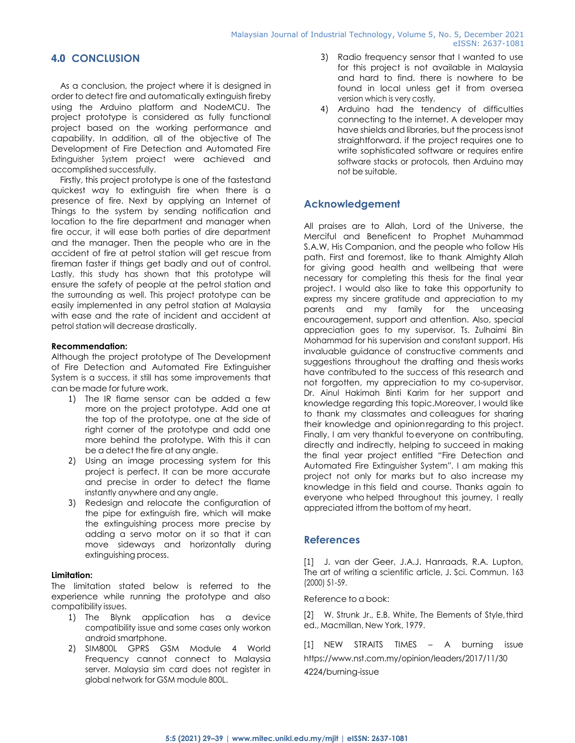# **4.0 CONCLUSION**

As a conclusion, the project where it is designed in order to detect fire and automatically extinguish fireby using the Arduino platform and NodeMCU. The project prototype is considered as fully functional project based on the working performance and capability. In addition, all of the objective of The Development of Fire Detection and Automated Fire Extinguisher System project were achieved and accomplished successfully.

Firstly, this project prototype is one of the fastestand quickest way to extinguish fire when there is a presence of fire. Next by applying an Internet of Things to the system by sending notification and location to the fire department and manager when fire occur, it will ease both parties of dire department and the manager. Then the people who are in the accident of fire at petrol station will get rescue from fireman faster if things get badly and out of control. Lastly, this study has shown that this prototype will ensure the safety of people at the petrol station and the surrounding as well. This project prototype can be easily implemented in any petrol station at Malaysia with ease and the rate of incident and accident at petrol station will decrease drastically.

# **Recommendation:**

Although the project prototype of The Development of Fire Detection and Automated Fire Extinguisher System is a success, it still has some improvements that can be made for future work.

- 1) The IR flame sensor can be added a few more on the project prototype. Add one at the top of the prototype, one at the side of right corner of the prototype and add one more behind the prototype. With this it can be a detect the fire at any angle.
- 2) Using an image processing system for this project is perfect. It can be more accurate and precise in order to detect the flame instantly anywhere and any angle.
- 3) Redesign and relocate the configuration of the pipe for extinguish fire, which will make the extinguishing process more precise by adding a servo motor on it so that it can move sideways and horizontally during extinguishing process.

# **Limitation:**

The limitation stated below is referred to the experience while running the prototype and also compatibility issues.

- 1) The Blynk application has a device compatibility issue and some cases only workon android smartphone.
- 2) SIM800L GPRS GSM Module 4 World Frequency cannot connect to Malaysia server. Malaysia sim card does not register in global network for GSM module 800L.
- 3) Radio frequency sensor that I wanted to use for this project is not available in Malaysia and hard to find. there is nowhere to be found in local unless get it from oversea version which is very costly.
- 4) Arduino had the tendency of difficulties connecting to the internet. A developer may have shields and libraries, but the process isnot straightforward. if the project requires one to write sophisticated software or requires entire software stacks or protocols, then Arduino may not be suitable.

# **Acknowledgement**

All praises are to Allah, Lord of the Universe, the Merciful and Beneficent to Prophet Muhammad S.A.W, His Companion, and the people who follow His path. First and foremost, like to thank Almighty Allah for giving good health and wellbeing that were necessary for completing this thesis for the final year project. I would also like to take this opportunity to express my sincere gratitude and appreciation to my parents and my family for the unceasing encouragement, support and attention. Also, special appreciation goes to my supervisor, Ts. Zulhaimi Bin Mohammad for his supervision and constant support. His invaluable guidance of constructive comments and suggestions throughout the drafting and thesis works have contributed to the success of this research and not forgotten, my appreciation to my co-supervisor, Dr. Ainul Hakimah Binti Karim for her support and knowledge regarding this topic.Moreover, I would like to thank my classmates and colleagues for sharing their knowledge and opinionregarding to this project. Finally, I am very thankful to everyone on contributing, directly and indirectly, helping to succeed in making the final year project entitled "Fire Detection and Automated Fire Extinguisher System". I am making this project not only for marks but to also increase my knowledge in this field and course. Thanks again to everyone who helped throughout this journey, I really appreciated itfrom the bottom of my heart.

# **References**

[1] J. van der Geer, J.A.J. Hanraads, R.A. Lupton, The art of writing a scientific article, J. Sci. Commun. 163 (2000) 51-59.

Reference to a book:

[2] W. Strunk Jr., E.B. White, The Elements of Style, third ed., Macmillan, New York, 1979.

[1] NEW STRAITS TIMES – A burning issue [https://www.nst.com.my/opinion/leaders/2017/11/30](https://www.nst.com.my/opinion/leaders/2017/11/304224/burning-issue) [4224/burning-issue](https://www.nst.com.my/opinion/leaders/2017/11/304224/burning-issue)